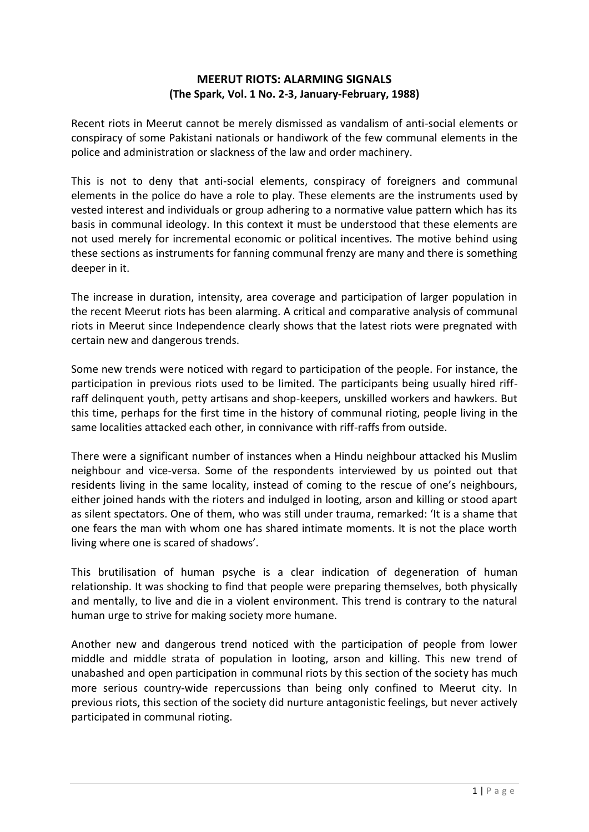## **MEERUT RIOTS: ALARMING SIGNALS (The Spark, Vol. 1 No. 2-3, January-February, 1988)**

Recent riots in Meerut cannot be merely dismissed as vandalism of anti-social elements or conspiracy of some Pakistani nationals or handiwork of the few communal elements in the police and administration or slackness of the law and order machinery.

This is not to deny that anti-social elements, conspiracy of foreigners and communal elements in the police do have a role to play. These elements are the instruments used by vested interest and individuals or group adhering to a normative value pattern which has its basis in communal ideology. In this context it must be understood that these elements are not used merely for incremental economic or political incentives. The motive behind using these sections as instruments for fanning communal frenzy are many and there is something deeper in it.

The increase in duration, intensity, area coverage and participation of larger population in the recent Meerut riots has been alarming. A critical and comparative analysis of communal riots in Meerut since Independence clearly shows that the latest riots were pregnated with certain new and dangerous trends.

Some new trends were noticed with regard to participation of the people. For instance, the participation in previous riots used to be limited. The participants being usually hired riffraff delinquent youth, petty artisans and shop-keepers, unskilled workers and hawkers. But this time, perhaps for the first time in the history of communal rioting, people living in the same localities attacked each other, in connivance with riff-raffs from outside.

There were a significant number of instances when a Hindu neighbour attacked his Muslim neighbour and vice-versa. Some of the respondents interviewed by us pointed out that residents living in the same locality, instead of coming to the rescue of one's neighbours, either joined hands with the rioters and indulged in looting, arson and killing or stood apart as silent spectators. One of them, who was still under trauma, remarked: 'It is a shame that one fears the man with whom one has shared intimate moments. It is not the place worth living where one is scared of shadows'.

This brutilisation of human psyche is a clear indication of degeneration of human relationship. It was shocking to find that people were preparing themselves, both physically and mentally, to live and die in a violent environment. This trend is contrary to the natural human urge to strive for making society more humane.

Another new and dangerous trend noticed with the participation of people from lower middle and middle strata of population in looting, arson and killing. This new trend of unabashed and open participation in communal riots by this section of the society has much more serious country-wide repercussions than being only confined to Meerut city. In previous riots, this section of the society did nurture antagonistic feelings, but never actively participated in communal rioting.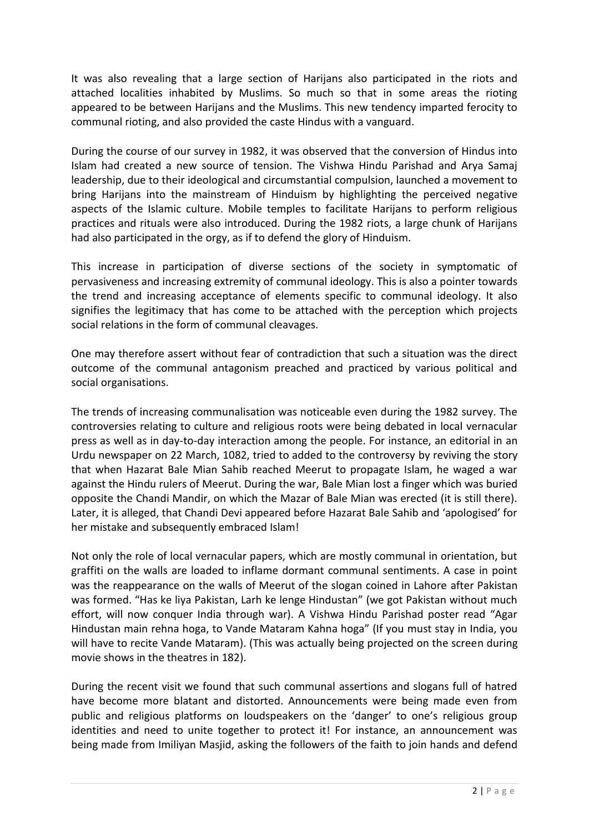It was also revealing that a large section of Harijans also participated in the riots and attached localities inhabited by Muslims. So much so that in some areas the rioting appeared to be between Harijans and the Muslims. This new tendency imparted ferocity to communal rioting, and also provided the caste Hindus with a vanguard.

During the course of our survey in 1982, it was observed that the conversion of Hindus into Islam had created a new source of tension. The Vishwa Hindu Parishad and Arya Samaj leadership, due to their ideological and circumstantial compulsion, launched a movement to bring Harijans into the mainstream of Hinduism by highlighting the perceived negative aspects of the Islamic culture. Mobile temples to facilitate Harijans to perform religious practices and rituals were also introduced. During the 1982 riots, a large chunk of Harijans had also participated in the orgy, as if to defend the glory of Hinduism.

This increase in participation of diverse sections of the society in symptomatic of pervasiveness and increasing extremity of communal ideology. This is also a pointer towards the trend and increasing acceptance of elements specific to communal ideology. It also signifies the legitimacy that has come to be attached with the perception which projects social relations in the form of communal cleavages.

One may therefore assert without fear of contradiction that such a situation was the direct outcome of the communal antagonism preached and practiced by various political and social organisations.

The trends of increasing communalisation was noticeable even during the 1982 survey. The controversies relating to culture and religious roots were being debated in local vernacular press as well as in day-to-day interaction among the people. For instance, an editorial in an Urdu newspaper on 22 March, 1082, tried to added to the controversy by reviving the story that when Hazarat Bale Mian Sahib reached Meerut to propagate Islam, he waged a war against the Hindu rulers of Meerut. During the war, Bale Mian lost a finger which was buried opposite the Chandi Mandir, on which the Mazar of Bale Mian was erected (it is still there). Later, it is alleged, that Chandi Devi appeared before Hazarat Bale Sahib and 'apologised' for her mistake and subsequently embraced Islam!

Not only the role of local vernacular papers, which are mostly communal in orientation, but graffiti on the walls are loaded to inflame dormant communal sentiments. A case in point was the reappearance on the walls of Meerut of the slogan coined in Lahore after Pakistan was formed. "Has ke liya Pakistan, Larh ke lenge Hindustan" (we got Pakistan without much effort, will now conquer India through war). A Vishwa Hindu Parishad poster read "Agar Hindustan main rehna hoga, to Vande Mataram Kahna hoga" (If you must stay in India, you will have to recite Vande Mataram). (This was actually being projected on the screen during movie shows in the theatres in 182).

During the recent visit we found that such communal assertions and slogans full of hatred have become more blatant and distorted. Announcements were being made even from public and religious platforms on loudspeakers on the 'danger' to one's religious group identities and need to unite together to protect it! For instance, an announcement was being made from Imiliyan Masjid, asking the followers of the faith to join hands and defend